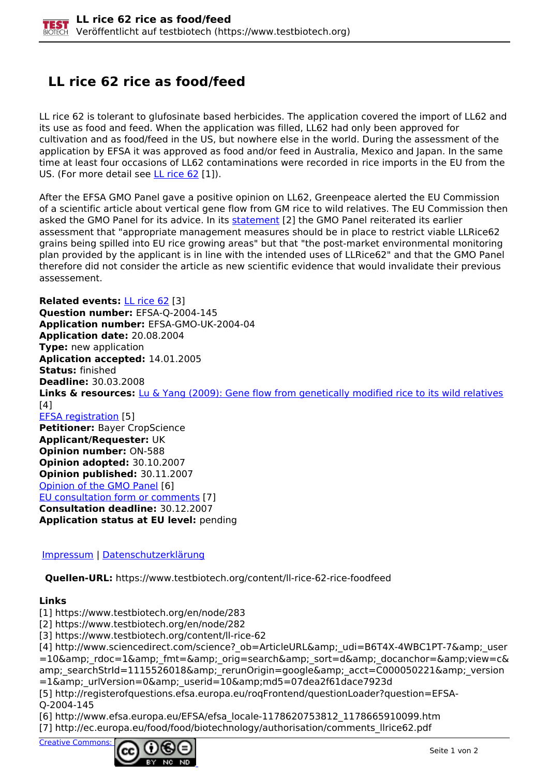## **LL rice 62 rice as food/feed**

LL rice 62 is tolerant to glufosinate based herbicides. The application covered the import of LL62 and its use as food and feed. When the application was filled, LL62 had only been approved for cultivation and as food/feed in the US, but nowhere else in the world. During the assessment of the application by EFSA it was approved as food and/or feed in Australia, Mexico and Japan. In the same time at least four occasions of LL62 contaminations were recorded in rice imports in the EU from the US. (For more detail see  $LL$  rice  $62$  [1]).

After the EFSA GMO Panel gave a positive opinion on LL62, Greenpeace alerted the EU Commission of a scientific article about vertical gene flow from GM rice to wild relatives. The EU Commission then asked the GMO Panel for its advice. In its statement [2] the GMO Panel reiterated its earlier assessment that "appropriate management measures should be in place to restrict viable LLRice62 grains being spilled into EU rice growing areas" but that "the post-market environmental monitoring plan provided by the applicant is in line with the intended uses of LLRice62" and that the GMO Panel therefore did not consider the article as new scientific evidence that would invalidate their previous assessement.

**Related events:** LL rice 62 [3] **Question number:** EFSA-Q-2004-145 **Application number:** EFSA-GMO-UK-2004-04 **Application date:** 20.08.2004 **Type:** new application **Aplication accepted:** 14.01.2005 **Status:** finished **Deadline:** 30.03.2008 **Links & resources:** Lu & Yang (2009): Gene flow from genetically modified rice to its wild relatives  $[4]$ EFSA registration [5] **Petitioner:** Bayer CropScience **Applicant/Requester:** UK **Opinion number:** ON-588 **Opinion adopted:** 30.10.2007 **Opinion published:** 30.11.2007 Opinion of the GMO Panel [6] EU consultation form or comments [7] **Consultation deadline:** 30.12.2007 **Application status at EU level:** pending

## Impressum | Datenschutzerklärung

**Quellen-URL:** https://www.testbiotech.org/content/ll-rice-62-rice-foodfeed

## **Links**

[1] https://www.testbiotech.org/en/node/283

[2] https://www.testbiotech.org/en/node/282

[3] https://www.testbiotech.org/content/ll-rice-62

[4] http://www.sciencedirect.com/science? ob=ArticleURL& udi=B6T4X-4WBC1PT-7& user =10& rdoc=1& fmt=& orig=search& sort=d& docanchor=&view=c& amp; searchStrId=1115526018& rerunOrigin=google& acct=C000050221& version =1&amp: urlVersion=0&amp: userid=10&amp:md5=07dea2f61dace7923d

[5] http://registerofquestions.efsa.europa.eu/roqFrontend/questionLoader?question=EFSA-Q-2004-145

[6] http://www.efsa.europa.eu/EFSA/efsa\_locale-1178620753812\_1178665910099.htm [7] http://ec.europa.eu/food/food/biotechnology/authorisation/comments\_llrice62.pdf

Creative Commons: